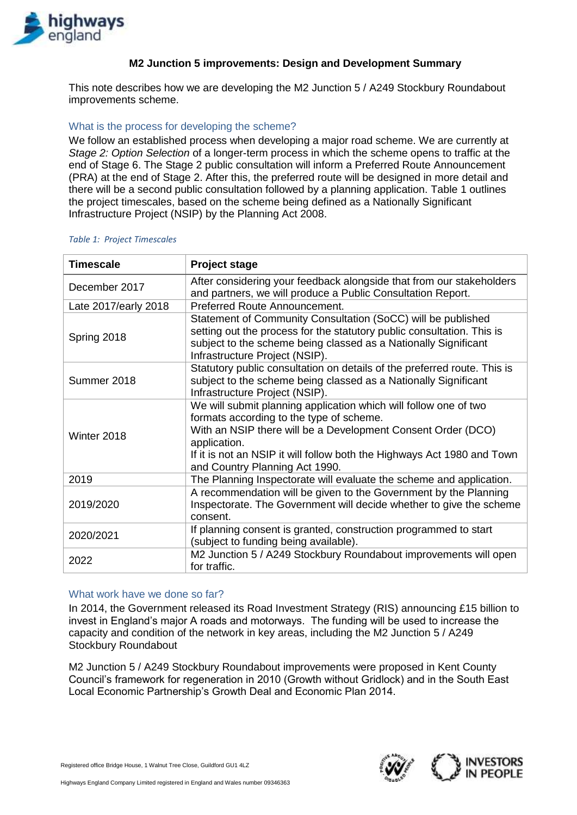

# **M2 Junction 5 improvements: Design and Development Summary**

This note describes how we are developing the M2 Junction 5 / A249 Stockbury Roundabout improvements scheme.

## What is the process for developing the scheme?

We follow an established process when developing a major road scheme. We are currently at *Stage 2: Option Selection* of a longer-term process in which the scheme opens to traffic at the end of Stage 6. The Stage 2 public consultation will inform a Preferred Route Announcement (PRA) at the end of Stage 2. After this, the preferred route will be designed in more detail and there will be a second public consultation followed by a planning application. [Table 1](#page-0-0) outlines the project timescales, based on the scheme being defined as a Nationally Significant Infrastructure Project (NSIP) by the Planning Act 2008.

| <b>Timescale</b>     | <b>Project stage</b>                                                                                                                                                                                                                                                                                      |
|----------------------|-----------------------------------------------------------------------------------------------------------------------------------------------------------------------------------------------------------------------------------------------------------------------------------------------------------|
| December 2017        | After considering your feedback alongside that from our stakeholders<br>and partners, we will produce a Public Consultation Report.                                                                                                                                                                       |
| Late 2017/early 2018 | Preferred Route Announcement.                                                                                                                                                                                                                                                                             |
| Spring 2018          | Statement of Community Consultation (SoCC) will be published<br>setting out the process for the statutory public consultation. This is<br>subject to the scheme being classed as a Nationally Significant<br>Infrastructure Project (NSIP).                                                               |
| Summer 2018          | Statutory public consultation on details of the preferred route. This is<br>subject to the scheme being classed as a Nationally Significant<br>Infrastructure Project (NSIP).                                                                                                                             |
| Winter 2018          | We will submit planning application which will follow one of two<br>formats according to the type of scheme.<br>With an NSIP there will be a Development Consent Order (DCO)<br>application.<br>If it is not an NSIP it will follow both the Highways Act 1980 and Town<br>and Country Planning Act 1990. |
| 2019                 | The Planning Inspectorate will evaluate the scheme and application.                                                                                                                                                                                                                                       |
| 2019/2020            | A recommendation will be given to the Government by the Planning<br>Inspectorate. The Government will decide whether to give the scheme<br>consent.                                                                                                                                                       |
| 2020/2021            | If planning consent is granted, construction programmed to start<br>(subject to funding being available).                                                                                                                                                                                                 |
| 2022                 | M2 Junction 5 / A249 Stockbury Roundabout improvements will open<br>for traffic.                                                                                                                                                                                                                          |

#### <span id="page-0-0"></span>*Table 1: Project Timescales*

## What work have we done so far?

In 2014, the Government released its Road Investment Strategy (RIS) announcing £15 billion to invest in England's major A roads and motorways. The funding will be used to increase the capacity and condition of the network in key areas, including the M2 Junction 5 / A249 Stockbury Roundabout

M2 Junction 5 / A249 Stockbury Roundabout improvements were proposed in Kent County Council's framework for regeneration in 2010 (Growth without Gridlock) and in the South East Local Economic Partnership's Growth Deal and Economic Plan 2014.



Registered office Bridge House, 1 Walnut Tree Close, Guildford GU1 4LZ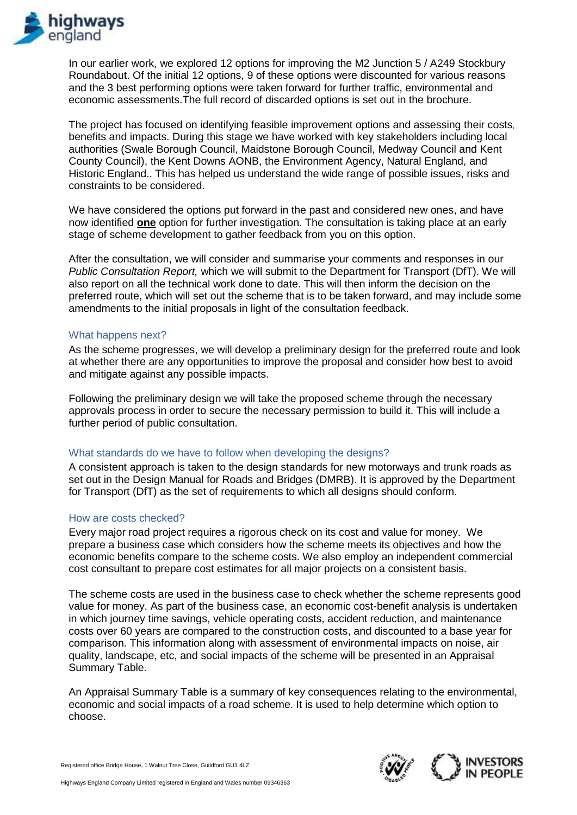

In our earlier work, we explored 12 options for improving the M2 Junction 5 / A249 Stockbury Roundabout. Of the initial 12 options, 9 of these options were discounted for various reasons and the 3 best performing options were taken forward for further traffic, environmental and economic assessments.The full record of discarded options is set out in the brochure.

The project has focused on identifying feasible improvement options and assessing their costs, benefits and impacts. During this stage we have worked with key stakeholders including local authorities (Swale Borough Council, Maidstone Borough Council, Medway Council and Kent County Council), the Kent Downs AONB, the Environment Agency, Natural England, and Historic England.. This has helped us understand the wide range of possible issues, risks and constraints to be considered.

We have considered the options put forward in the past and considered new ones, and have now identified **one** option for further investigation. The consultation is taking place at an early stage of scheme development to gather feedback from you on this option.

After the consultation, we will consider and summarise your comments and responses in our *Public Consultation Report,* which we will submit to the Department for Transport (DfT). We will also report on all the technical work done to date. This will then inform the decision on the preferred route, which will set out the scheme that is to be taken forward, and may include some amendments to the initial proposals in light of the consultation feedback.

## What happens next?

As the scheme progresses, we will develop a preliminary design for the preferred route and look at whether there are any opportunities to improve the proposal and consider how best to avoid and mitigate against any possible impacts.

Following the preliminary design we will take the proposed scheme through the necessary approvals process in order to secure the necessary permission to build it. This will include a further period of public consultation.

## What standards do we have to follow when developing the designs?

A consistent approach is taken to the design standards for new motorways and trunk roads as set out in the Design Manual for Roads and Bridges (DMRB). It is approved by the Department for Transport (DfT) as the set of requirements to which all designs should conform.

## How are costs checked?

Every major road project requires a rigorous check on its cost and value for money. We prepare a business case which considers how the scheme meets its objectives and how the economic benefits compare to the scheme costs. We also employ an independent commercial cost consultant to prepare cost estimates for all major projects on a consistent basis.

The scheme costs are used in the business case to check whether the scheme represents good value for money. As part of the business case, an economic cost-benefit analysis is undertaken in which journey time savings, vehicle operating costs, accident reduction, and maintenance costs over 60 years are compared to the construction costs, and discounted to a base year for comparison. This information along with assessment of environmental impacts on noise, air quality, landscape, etc, and social impacts of the scheme will be presented in an Appraisal Summary Table.

An Appraisal Summary Table is a summary of key consequences relating to the environmental, economic and social impacts of a road scheme. It is used to help determine which option to choose.